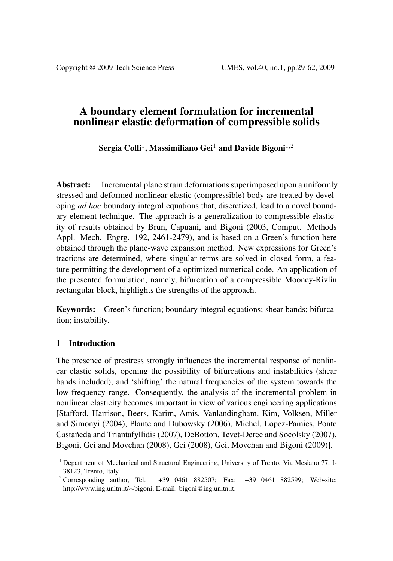# A boundary element formulation for incremental nonlinear elastic deformation of compressible solids

Sergia Colli $^1$ , Massimiliano Gei $^1$  and Davide Bigoni $^{1,2}$ 

Abstract: Incremental plane strain deformations superimposed upon a uniformly stressed and deformed nonlinear elastic (compressible) body are treated by developing *ad hoc* boundary integral equations that, discretized, lead to a novel boundary element technique. The approach is a generalization to compressible elasticity of results obtained by Brun, Capuani, and Bigoni (2003, Comput. Methods Appl. Mech. Engrg. 192, 2461-2479), and is based on a Green's function here obtained through the plane-wave expansion method. New expressions for Green's tractions are determined, where singular terms are solved in closed form, a feature permitting the development of a optimized numerical code. An application of the presented formulation, namely, bifurcation of a compressible Mooney-Rivlin rectangular block, highlights the strengths of the approach.

Keywords: Green's function; boundary integral equations; shear bands; bifurcation; instability.

## 1 Introduction

The presence of prestress strongly influences the incremental response of nonlinear elastic solids, opening the possibility of bifurcations and instabilities (shear bands included), and 'shifting' the natural frequencies of the system towards the low-frequency range. Consequently, the analysis of the incremental problem in nonlinear elasticity becomes important in view of various engineering applications [Stafford, Harrison, Beers, Karim, Amis, Vanlandingham, Kim, Volksen, Miller and Simonyi (2004), Plante and Dubowsky (2006), Michel, Lopez-Pamies, Ponte Castañeda and Triantafyllidis (2007), DeBotton, Tevet-Deree and Socolsky (2007), Bigoni, Gei and Movchan (2008), Gei (2008), Gei, Movchan and Bigoni (2009)].

<sup>&</sup>lt;sup>1</sup> Department of Mechanical and Structural Engineering, University of Trento, Via Mesiano 77, I-38123, Trento, Italy.

<sup>&</sup>lt;sup>2</sup> Corresponding author, Tel.  $+39$  0461 882507; Fax:  $+39$  0461 882599; Web-site: http://www.ing.unitn.it/∼bigoni; E-mail: bigoni@ing.unitn.it.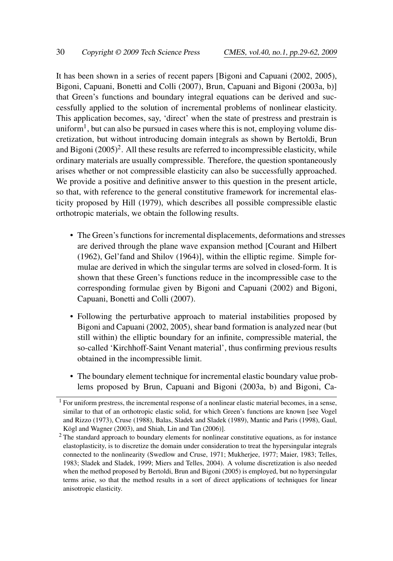It has been shown in a series of recent papers [Bigoni and Capuani (2002, 2005), Bigoni, Capuani, Bonetti and Colli (2007), Brun, Capuani and Bigoni (2003a, b)] that Green's functions and boundary integral equations can be derived and successfully applied to the solution of incremental problems of nonlinear elasticity. This application becomes, say, 'direct' when the state of prestress and prestrain is uniform<sup>1</sup>, but can also be pursued in cases where this is not, employing volume discretization, but without introducing domain integrals as shown by Bertoldi, Brun and Bigoni  $(2005)^2$ . All these results are referred to incompressible elasticity, while ordinary materials are usually compressible. Therefore, the question spontaneously arises whether or not compressible elasticity can also be successfully approached. We provide a positive and definitive answer to this question in the present article, so that, with reference to the general constitutive framework for incremental elasticity proposed by Hill (1979), which describes all possible compressible elastic orthotropic materials, we obtain the following results.

- The Green's functions for incremental displacements, deformations and stresses are derived through the plane wave expansion method [Courant and Hilbert (1962), Gel'fand and Shilov (1964)], within the elliptic regime. Simple formulae are derived in which the singular terms are solved in closed-form. It is shown that these Green's functions reduce in the incompressible case to the corresponding formulae given by Bigoni and Capuani (2002) and Bigoni, Capuani, Bonetti and Colli (2007).
- Following the perturbative approach to material instabilities proposed by Bigoni and Capuani (2002, 2005), shear band formation is analyzed near (but still within) the elliptic boundary for an infinite, compressible material, the so-called 'Kirchhoff-Saint Venant material', thus confirming previous results obtained in the incompressible limit.
- The boundary element technique for incremental elastic boundary value problems proposed by Brun, Capuani and Bigoni (2003a, b) and Bigoni, Ca-

<sup>1</sup> For uniform prestress, the incremental response of a nonlinear elastic material becomes, in a sense, similar to that of an orthotropic elastic solid, for which Green's functions are known [see Vogel and Rizzo (1973), Cruse (1988), Balas, Sladek and Sladek (1989), Mantic and Paris (1998), Gaul, Kögl and Wagner (2003), and Shiah, Lin and Tan (2006)].

 $2$  The standard approach to boundary elements for nonlinear constitutive equations, as for instance elastoplasticity, is to discretize the domain under consideration to treat the hypersingular integrals connected to the nonlinearity (Swedlow and Cruse, 1971; Mukherjee, 1977; Maier, 1983; Telles, 1983; Sladek and Sladek, 1999; Miers and Telles, 2004). A volume discretization is also needed when the method proposed by Bertoldi, Brun and Bigoni (2005) is employed, but no hypersingular terms arise, so that the method results in a sort of direct applications of techniques for linear anisotropic elasticity.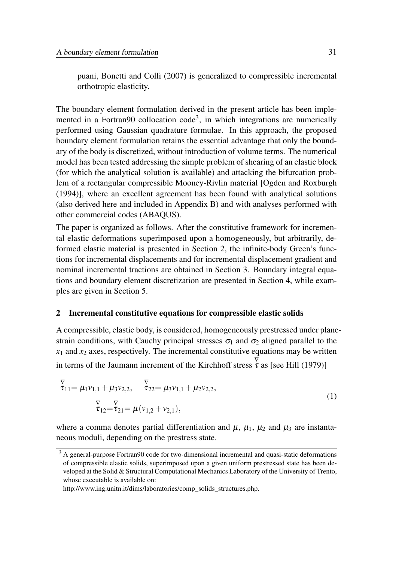puani, Bonetti and Colli (2007) is generalized to compressible incremental orthotropic elasticity.

The boundary element formulation derived in the present article has been implemented in a Fortran90 collocation code<sup>3</sup>, in which integrations are numerically performed using Gaussian quadrature formulae. In this approach, the proposed boundary element formulation retains the essential advantage that only the boundary of the body is discretized, without introduction of volume terms. The numerical model has been tested addressing the simple problem of shearing of an elastic block (for which the analytical solution is available) and attacking the bifurcation problem of a rectangular compressible Mooney-Rivlin material [Ogden and Roxburgh (1994)], where an excellent agreement has been found with analytical solutions (also derived here and included in Appendix B) and with analyses performed with other commercial codes (ABAQUS).

The paper is organized as follows. After the constitutive framework for incremental elastic deformations superimposed upon a homogeneously, but arbitrarily, deformed elastic material is presented in Section 2, the infinite-body Green's functions for incremental displacements and for incremental displacement gradient and nominal incremental tractions are obtained in Section 3. Boundary integral equations and boundary element discretization are presented in Section 4, while examples are given in Section 5.

## 2 Incremental constitutive equations for compressible elastic solids

A compressible, elastic body, is considered, homogeneously prestressed under planestrain conditions, with Cauchy principal stresses  $\sigma_1$  and  $\sigma_2$  aligned parallel to the  $x_1$  and  $x_2$  axes, respectively. The incremental constitutive equations may be written in terms of the Jaumann increment of the Kirchhoff stress  $\overline{\tau}$  as [see Hill (1979)]

$$
\begin{aligned}\n\nabla_{11} &= \mu_1 v_{1,1} + \mu_3 v_{2,2}, & \nabla_{22} &= \mu_3 v_{1,1} + \mu_2 v_{2,2}, \\
\nabla_{12} &= \nabla_{21} = \mu \left( v_{1,2} + v_{2,1} \right),\n\end{aligned} \tag{1}
$$

where a comma denotes partial differentiation and  $\mu$ ,  $\mu_1$ ,  $\mu_2$  and  $\mu_3$  are instantaneous moduli, depending on the prestress state.

<sup>&</sup>lt;sup>3</sup> A general-purpose Fortran90 code for two-dimensional incremental and quasi-static deformations of compressible elastic solids, superimposed upon a given uniform prestressed state has been developed at the Solid & Structural Computational Mechanics Laboratory of the University of Trento, whose executable is available on:

http://www.ing.unitn.it/dims/laboratories/comp\_solids\_structures.php.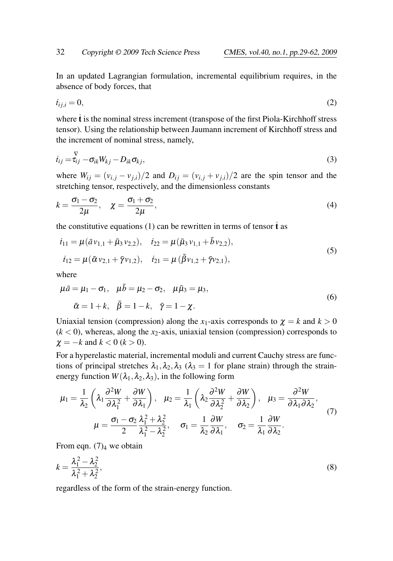In an updated Lagrangian formulation, incremental equilibrium requires, in the absence of body forces, that

$$
\dot{t}_{ij,i} = 0,\tag{2}
$$

where  $\dot{\mathbf{t}}$  is the nominal stress increment (transpose of the first Piola-Kirchhoff stress tensor). Using the relationship between Jaumann increment of Kirchhoff stress and the increment of nominal stress, namely,

$$
\dot{t}_{ij} = \overline{\tau}_{ij} - \sigma_{ik} W_{kj} - D_{ik} \sigma_{kj},
$$
\n(3)

where  $W_{ij} = (v_{i,j} - v_{j,i})/2$  and  $D_{ij} = (v_{i,j} + v_{j,i})/2$  are the spin tensor and the stretching tensor, respectively, and the dimensionless constants

$$
k = \frac{\sigma_1 - \sigma_2}{2\mu}, \quad \chi = \frac{\sigma_1 + \sigma_2}{2\mu}, \tag{4}
$$

the constitutive equations (1) can be rewritten in terms of tensor  $\dot{\mathbf{t}}$  as

$$
\begin{aligned}\n\dot{t}_{11} &= \mu(\bar{a}v_{1,1} + \bar{\mu}_3 v_{2,2}), & \dot{t}_{22} &= \mu(\bar{\mu}_3 v_{1,1} + \bar{b}v_{2,2}), \\
\dot{t}_{12} &= \mu(\bar{\alpha}v_{2,1} + \bar{\gamma}v_{1,2}), & \dot{t}_{21} &= \mu(\bar{\beta}v_{1,2} + \bar{\gamma}v_{2,1}),\n\end{aligned}\n\tag{5}
$$

where

$$
\mu \bar{a} = \mu_1 - \sigma_1, \quad \mu \bar{b} = \mu_2 - \sigma_2, \quad \mu \bar{\mu}_3 = \mu_3,\n\bar{\alpha} = 1 + k, \quad \bar{\beta} = 1 - k, \quad \bar{\gamma} = 1 - \chi.
$$
\n(6)

Uniaxial tension (compression) along the *x*<sub>1</sub>-axis corresponds to  $\chi = k$  and  $k > 0$  $(k < 0)$ , whereas, along the  $x_2$ -axis, uniaxial tension (compression) corresponds to  $\chi = -k$  and  $k < 0$  ( $k > 0$ ).

For a hyperelastic material, incremental moduli and current Cauchy stress are functions of principal stretches  $\lambda_1, \lambda_2, \lambda_3$  ( $\lambda_3 = 1$  for plane strain) through the strainenergy function  $W(\lambda_1, \lambda_2, \lambda_3)$ , in the following form

$$
\mu_1 = \frac{1}{\lambda_2} \left( \lambda_1 \frac{\partial^2 W}{\partial \lambda_1^2} + \frac{\partial W}{\partial \lambda_1} \right), \quad \mu_2 = \frac{1}{\lambda_1} \left( \lambda_2 \frac{\partial^2 W}{\partial \lambda_2^2} + \frac{\partial W}{\partial \lambda_2} \right), \quad \mu_3 = \frac{\partial^2 W}{\partial \lambda_1 \partial \lambda_2},
$$
\n
$$
\mu = \frac{\sigma_1 - \sigma_2}{2} \frac{\lambda_1^2 + \lambda_2^2}{\lambda_1^2 - \lambda_2^2}, \quad \sigma_1 = \frac{1}{\lambda_2} \frac{\partial W}{\partial \lambda_1}, \quad \sigma_2 = \frac{1}{\lambda_1} \frac{\partial W}{\partial \lambda_2}.
$$
\n(7)

From eqn.  $(7)_4$  we obtain

$$
k = \frac{\lambda_1^2 - \lambda_2^2}{\lambda_1^2 + \lambda_2^2},\tag{8}
$$

regardless of the form of the strain-energy function.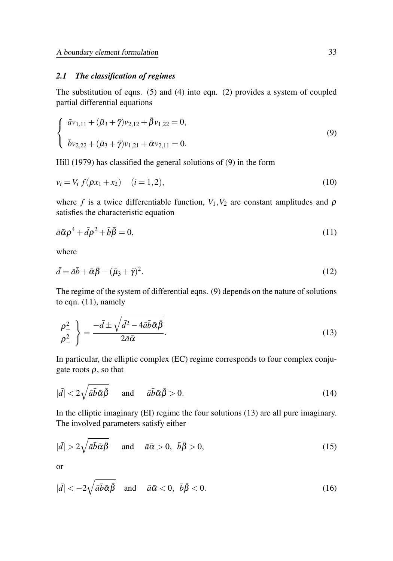#### *2.1 The classification of regimes*

The substitution of eqns. (5) and (4) into eqn. (2) provides a system of coupled partial differential equations

$$
\begin{cases}\n\bar{a}v_{1,11} + (\bar{\mu}_3 + \bar{\gamma})v_{2,12} + \bar{\beta}v_{1,22} = 0, \\
\bar{b}v_{2,22} + (\bar{\mu}_3 + \bar{\gamma})v_{1,21} + \bar{\alpha}v_{2,11} = 0.\n\end{cases}
$$
\n(9)

Hill (1979) has classified the general solutions of (9) in the form

$$
v_i = V_i f(\rho x_1 + x_2) \quad (i = 1, 2), \tag{10}
$$

where *f* is a twice differentiable function,  $V_1$ ,  $V_2$  are constant amplitudes and  $\rho$ satisfies the characteristic equation

$$
\bar{a}\bar{\alpha}\rho^4 + \bar{d}\rho^2 + \bar{b}\bar{\beta} = 0,\tag{11}
$$

where

$$
\bar{d} = \bar{a}\bar{b} + \bar{\alpha}\bar{\beta} - (\bar{\mu}_3 + \bar{\gamma})^2. \tag{12}
$$

The regime of the system of differential eqns. (9) depends on the nature of solutions to eqn. (11), namely

$$
\begin{aligned}\n\rho_+^2 \\
\rho_-^2\n\end{aligned}\n\bigg\} = \frac{-\bar{d} \pm \sqrt{\bar{d}^2 - 4\bar{a}\bar{b}\bar{\alpha}\bar{\beta}}}{2\bar{a}\bar{\alpha}}.\n\tag{13}
$$

In particular, the elliptic complex (EC) regime corresponds to four complex conjugate roots  $\rho$ , so that

$$
|\bar{d}| < 2\sqrt{\bar{a}\bar{b}\bar{\alpha}\bar{\beta}} \quad \text{and} \quad \bar{a}\bar{b}\bar{\alpha}\bar{\beta} > 0. \tag{14}
$$

In the elliptic imaginary (EI) regime the four solutions (13) are all pure imaginary. The involved parameters satisfy either

$$
|\bar{d}| > 2\sqrt{\bar{a}\bar{b}\bar{\alpha}\bar{\beta}} \quad \text{and} \quad \bar{a}\bar{\alpha} > 0, \ \bar{b}\bar{\beta} > 0,
$$
 (15)

or

$$
|\bar{d}| < -2\sqrt{\bar{a}\bar{b}\bar{\alpha}\bar{\beta}} \quad \text{and} \quad \bar{a}\bar{\alpha} < 0, \ \bar{b}\bar{\beta} < 0. \tag{16}
$$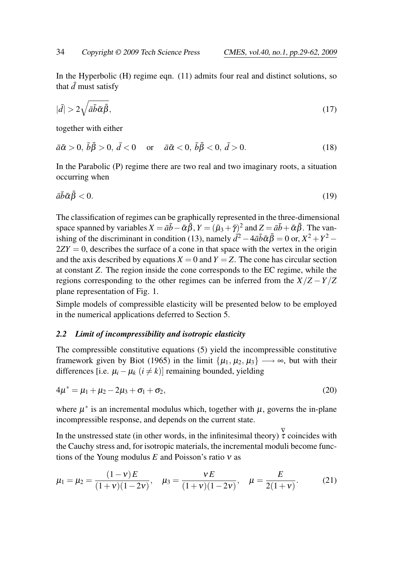In the Hyperbolic (H) regime eqn. (11) admits four real and distinct solutions, so that  $\bar{d}$  must satisfy

$$
|\bar{d}| > 2\sqrt{\bar{a}\bar{b}\bar{\alpha}\bar{\beta}},\tag{17}
$$

together with either

$$
\bar{a}\bar{\alpha} > 0, \bar{b}\bar{\beta} > 0, \bar{d} < 0 \quad \text{or} \quad \bar{a}\bar{\alpha} < 0, \bar{b}\bar{\beta} < 0, \bar{d} > 0.
$$
 (18)

In the Parabolic (P) regime there are two real and two imaginary roots, a situation occurring when

$$
\bar{a}\bar{b}\bar{\alpha}\bar{\beta} < 0. \tag{19}
$$

The classification of regimes can be graphically represented in the three-dimensional space spanned by variables  $X = \bar{a}\bar{b} - \bar{\alpha}\bar{\beta}$ ,  $Y = (\bar{\mu}_3 + \bar{\gamma})^2$  and  $Z = \bar{a}\bar{b} + \bar{\alpha}\bar{\beta}$ . The vanishing of the discriminant in condition (13), namely  $\vec{d}^2 - 4\vec{a}\vec{b}\vec{\alpha}\vec{\beta} = 0$  or,  $X^2 + Y^2 2ZY = 0$ , describes the surface of a cone in that space with the vertex in the origin and the axis described by equations  $X = 0$  and  $Y = Z$ . The cone has circular section at constant *Z*. The region inside the cone corresponds to the EC regime, while the regions corresponding to the other regimes can be inferred from the  $X/Z - Y/Z$ plane representation of Fig. 1.

Simple models of compressible elasticity will be presented below to be employed in the numerical applications deferred to Section 5.

## *2.2 Limit of incompressibility and isotropic elasticity*

The compressible constitutive equations (5) yield the incompressible constitutive framework given by Biot (1965) in the limit  $\{\mu_1, \mu_2, \mu_3\} \longrightarrow \infty$ , but with their differences [i.e.  $\mu_i - \mu_k$  ( $i \neq k$ )] remaining bounded, yielding

$$
4\mu^* = \mu_1 + \mu_2 - 2\mu_3 + \sigma_1 + \sigma_2, \tag{20}
$$

where  $\mu^*$  is an incremental modulus which, together with  $\mu$ , governs the in-plane incompressible response, and depends on the current state.

In the unstressed state (in other words, in the infinitesimal theory)  $\overline{\tau}$  coincides with the Cauchy stress and, for isotropic materials, the incremental moduli become functions of the Young modulus *E* and Poisson's ratio ν as

$$
\mu_1 = \mu_2 = \frac{(1 - v)E}{(1 + v)(1 - 2v)}, \quad \mu_3 = \frac{vE}{(1 + v)(1 - 2v)}, \quad \mu = \frac{E}{2(1 + v)}.
$$
 (21)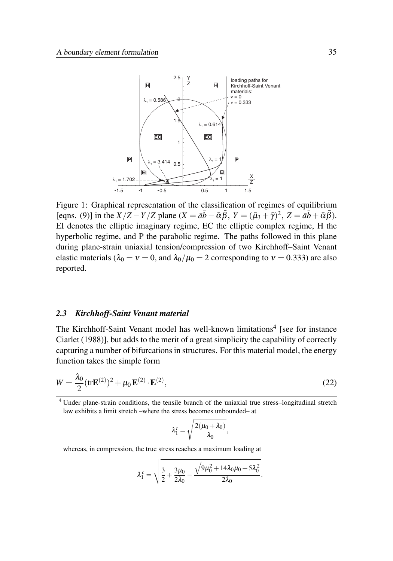

Figure 1: Graphical representation of the classification of regimes of equilibrium [eqns. (9)] in the  $X/Z - Y/Z$  plane  $(X = \overline{a}\overline{b} - \overline{\alpha}\overline{\beta}$ ,  $Y = (\overline{\mu}_3 + \overline{\gamma})^2$ ,  $Z = \overline{a}\overline{b} + \overline{\alpha}\overline{\beta}$ ). EI denotes the elliptic imaginary regime, EC the elliptic complex regime, H the hyperbolic regime, and P the parabolic regime. The paths followed in this plane during plane-strain uniaxial tension/compression of two Kirchhoff–Saint Venant elastic materials ( $\lambda_0 = v = 0$ , and  $\lambda_0 / \mu_0 = 2$  corresponding to  $v = 0.333$ ) are also reported.

### *2.3 Kirchhoff-Saint Venant material*

The Kirchhoff-Saint Venant model has well-known limitations<sup>4</sup> [see for instance Ciarlet (1988)], but adds to the merit of a great simplicity the capability of correctly capturing a number of bifurcations in structures. For this material model, the energy function takes the simple form

$$
W = \frac{\lambda_0}{2} (\text{tr} \mathbf{E}^{(2)})^2 + \mu_0 \mathbf{E}^{(2)} \cdot \mathbf{E}^{(2)},
$$
\n(22)

<sup>4</sup> Under plane-strain conditions, the tensile branch of the uniaxial true stress-longitudinal stretch law exhibits a limit stretch –where the stress becomes unbounded– at

$$
\lambda_1^t=\sqrt{\frac{2(\mu_0+\lambda_0)}{\lambda_0}},
$$

whereas, in compression, the true stress reaches a maximum loading at

$$
\lambda_1^c = \sqrt{\frac{3}{2} + \frac{3\mu_0}{2\lambda_0} - \frac{\sqrt{9\mu_0^2 + 14\lambda_0\mu_0 + 5\lambda_0^2}}{2\lambda_0}}.
$$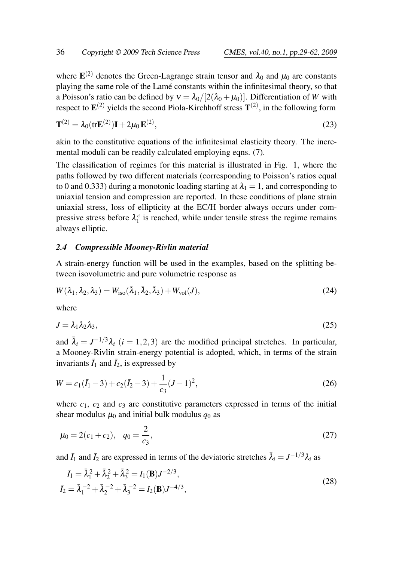where  $\mathbf{E}^{(2)}$  denotes the Green-Lagrange strain tensor and  $\lambda_0$  and  $\mu_0$  are constants playing the same role of the Lamé constants within the infinitesimal theory, so that a Poisson's ratio can be defined by  $v = \lambda_0/[2(\lambda_0 + \mu_0)]$ . Differentiation of *W* with respect to  $\mathbf{E}^{(2)}$  yields the second Piola-Kirchhoff stress  $\mathbf{T}^{(2)}$ , in the following form

$$
\mathbf{T}^{(2)} = \lambda_0(\text{tr}\mathbf{E}^{(2)})\mathbf{I} + 2\mu_0\mathbf{E}^{(2)},\tag{23}
$$

akin to the constitutive equations of the infinitesimal elasticity theory. The incremental moduli can be readily calculated employing eqns. (7).

The classification of regimes for this material is illustrated in Fig. 1, where the paths followed by two different materials (corresponding to Poisson's ratios equal to 0 and 0.333) during a monotonic loading starting at  $\lambda_1 = 1$ , and corresponding to uniaxial tension and compression are reported. In these conditions of plane strain uniaxial stress, loss of ellipticity at the EC/H border always occurs under compressive stress before  $\lambda_1^c$  is reached, while under tensile stress the regime remains always elliptic.

#### *2.4 Compressible Mooney-Rivlin material*

A strain-energy function will be used in the examples, based on the splitting between isovolumetric and pure volumetric response as

$$
W(\lambda_1, \lambda_2, \lambda_3) = W_{\text{iso}}(\bar{\lambda}_1, \bar{\lambda}_2, \bar{\lambda}_3) + W_{\text{vol}}(J),
$$
\n(24)

where

$$
J = \lambda_1 \lambda_2 \lambda_3,\tag{25}
$$

and  $\bar{\lambda}_i = J^{-1/3}\lambda_i$  (*i* = 1,2,3) are the modified principal stretches. In particular, a Mooney-Rivlin strain-energy potential is adopted, which, in terms of the strain invariants  $\bar{I}_1$  and  $\bar{I}_2$ , is expressed by

$$
W = c_1(\bar{I}_1 - 3) + c_2(\bar{I}_2 - 3) + \frac{1}{c_3}(J - 1)^2,
$$
\n(26)

where  $c_1$ ,  $c_2$  and  $c_3$  are constitutive parameters expressed in terms of the initial shear modulus  $\mu_0$  and initial bulk modulus  $q_0$  as

$$
\mu_0 = 2(c_1 + c_2), \quad q_0 = \frac{2}{c_3},\tag{27}
$$

and  $\bar{I}_1$  and  $\bar{I}_2$  are expressed in terms of the deviatoric stretches  $\bar{\lambda}_i = J^{-1/3} \lambda_i$  as

$$
\bar{I}_1 = \bar{\lambda}_1^2 + \bar{\lambda}_2^2 + \bar{\lambda}_3^2 = I_1(\mathbf{B})J^{-2/3},
$$
  
\n
$$
\bar{I}_2 = \bar{\lambda}_1^{-2} + \bar{\lambda}_2^{-2} + \bar{\lambda}_3^{-2} = I_2(\mathbf{B})J^{-4/3},
$$
\n(28)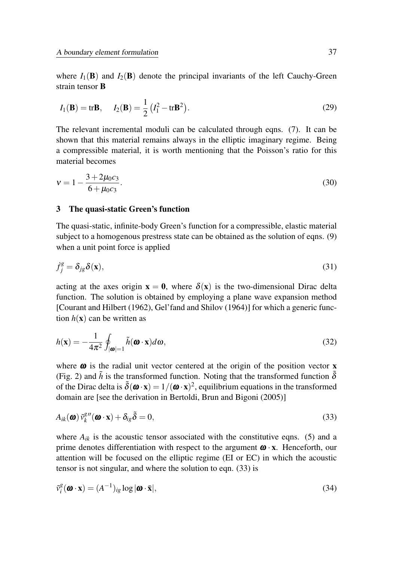where  $I_1(\mathbf{B})$  and  $I_2(\mathbf{B})$  denote the principal invariants of the left Cauchy-Green strain tensor B

$$
I_1(\mathbf{B}) = \text{tr}\mathbf{B}, \quad I_2(\mathbf{B}) = \frac{1}{2} (I_1^2 - \text{tr}\mathbf{B}^2).
$$
 (29)

The relevant incremental moduli can be calculated through eqns. (7). It can be shown that this material remains always in the elliptic imaginary regime. Being a compressible material, it is worth mentioning that the Poisson's ratio for this material becomes

$$
v = 1 - \frac{3 + 2\mu_0 c_3}{6 + \mu_0 c_3}.
$$
\n(30)

## 3 The quasi-static Green's function

The quasi-static, infinite-body Green's function for a compressible, elastic material subject to a homogenous prestress state can be obtained as the solution of eqns. (9) when a unit point force is applied

$$
\dot{f}_j^g = \delta_{js} \delta(\mathbf{x}),\tag{31}
$$

acting at the axes origin  $x = 0$ , where  $\delta(x)$  is the two-dimensional Dirac delta function. The solution is obtained by employing a plane wave expansion method [Courant and Hilbert (1962), Gel'fand and Shilov (1964)] for which a generic function  $h(\mathbf{x})$  can be written as

$$
h(\mathbf{x}) = -\frac{1}{4\pi^2} \oint_{|\mathbf{\omega}|=1} \tilde{h}(\mathbf{\omega} \cdot \mathbf{x}) d\mathbf{\omega},\tag{32}
$$

where  $\boldsymbol{\omega}$  is the radial unit vector centered at the origin of the position vector **x** (Fig. 2) and  $\tilde{h}$  is the transformed function. Noting that the transformed function  $\tilde{\delta}$ of the Dirac delta is  $\tilde{\delta}(\mathbf{\omega} \cdot \mathbf{x}) = 1/(\mathbf{\omega} \cdot \mathbf{x})^2$ , equilibrium equations in the transformed domain are [see the derivation in Bertoldi, Brun and Bigoni (2005)]

$$
A_{ik}(\boldsymbol{\omega})\tilde{v}_k^{g\prime\prime}(\boldsymbol{\omega}\cdot\mathbf{x}) + \delta_{ig}\tilde{\delta} = 0,
$$
\n(33)

where  $A_{ik}$  is the acoustic tensor associated with the constitutive eqns. (5) and a prime denotes differentiation with respect to the argument  $\boldsymbol{\omega} \cdot \mathbf{x}$ . Henceforth, our attention will be focused on the elliptic regime (EI or EC) in which the acoustic tensor is not singular, and where the solution to eqn. (33) is

$$
\tilde{v}_i^g(\boldsymbol{\omega} \cdot \mathbf{x}) = (A^{-1})_{ig} \log |\boldsymbol{\omega} \cdot \bar{\mathbf{x}}|,\tag{34}
$$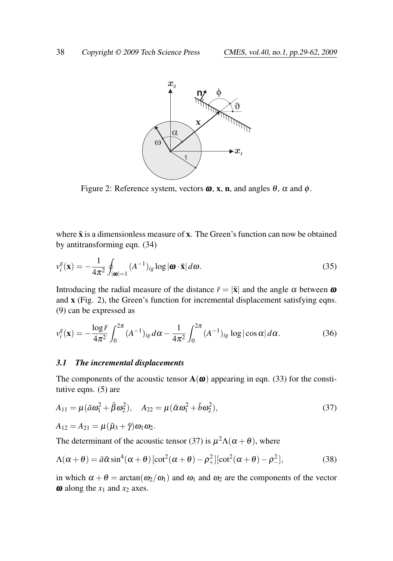

Figure 2: Reference system, vectors  $\boldsymbol{\omega}$ , **x**, **n**, and angles  $\theta$ ,  $\alpha$  and  $\phi$ .

where  $\bar{x}$  is a dimensionless measure of  $x$ . The Green's function can now be obtained by antitransforming eqn. (34)

$$
\nu_i^g(\mathbf{x}) = -\frac{1}{4\pi^2} \oint_{|\boldsymbol{\omega}|=1} (A^{-1})_{ig} \log |\boldsymbol{\omega} \cdot \bar{\mathbf{x}}| d\boldsymbol{\omega}.
$$
 (35)

Introducing the radial measure of the distance  $\bar{r} = |\bar{x}|$  and the angle  $\alpha$  between  $\omega$ and x (Fig. 2), the Green's function for incremental displacement satisfying eqns. (9) can be expressed as

$$
v_i^g(\mathbf{x}) = -\frac{\log \bar{r}}{4\pi^2} \int_0^{2\pi} (A^{-1})_{ig} d\alpha - \frac{1}{4\pi^2} \int_0^{2\pi} (A^{-1})_{ig} \log |\cos \alpha| d\alpha.
$$
 (36)

## *3.1 The incremental displacements*

The components of the acoustic tensor  $A(\boldsymbol{\omega})$  appearing in eqn. (33) for the constitutive eqns. (5) are

$$
A_{11} = \mu (\bar{a}\omega_1^2 + \bar{\beta}\omega_2^2), \quad A_{22} = \mu (\bar{\alpha}\omega_1^2 + \bar{b}\omega_2^2), \tag{37}
$$

$$
A_{12}=A_{21}=\mu(\bar{\mu}_3+\bar{\gamma})\omega_1\omega_2.
$$

The determinant of the acoustic tensor (37) is  $\mu^2 \Lambda(\alpha + \theta)$ , where

$$
\Lambda(\alpha + \theta) = \bar{a}\bar{\alpha}\sin^4(\alpha + \theta)\left[\cot^2(\alpha + \theta) - \rho_+^2\right]\left[\cot^2(\alpha + \theta) - \rho_-^2\right],\tag{38}
$$

in which  $\alpha + \theta = \arctan(\omega_2/\omega_1)$  and  $\omega_1$  and  $\omega_2$  are the components of the vector  $\omega$  along the  $x_1$  and  $x_2$  axes.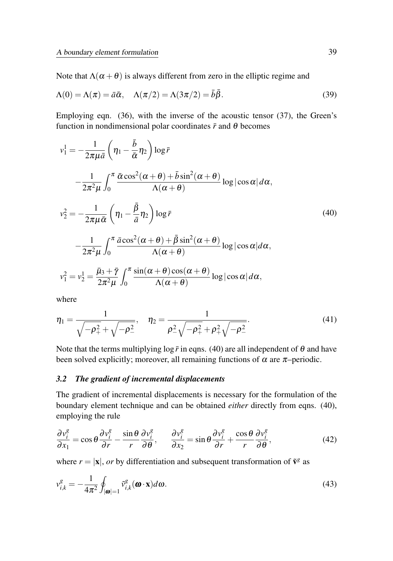Note that  $\Lambda(\alpha + \theta)$  is always different from zero in the elliptic regime and

$$
\Lambda(0) = \Lambda(\pi) = \bar{a}\bar{\alpha}, \quad \Lambda(\pi/2) = \Lambda(3\pi/2) = \bar{b}\bar{\beta}.
$$
 (39)

Employing eqn. (36), with the inverse of the acoustic tensor (37), the Green's function in nondimensional polar coordinates  $\bar{r}$  and  $\theta$  becomes

$$
v_1^1 = -\frac{1}{2\pi\mu\bar{a}} \left( \eta_1 - \frac{\bar{b}}{\bar{\alpha}} \eta_2 \right) \log \bar{r}
$$
  

$$
- \frac{1}{2\pi^2\mu} \int_0^{\pi} \frac{\bar{\alpha} \cos^2(\alpha + \theta) + \bar{b} \sin^2(\alpha + \theta)}{\Lambda(\alpha + \theta)} \log |\cos \alpha| d\alpha,
$$
  

$$
v_2^2 = -\frac{1}{2\pi\mu\bar{\alpha}} \left( \eta_1 - \frac{\bar{\beta}}{\bar{a}} \eta_2 \right) \log \bar{r}
$$
  

$$
- \frac{1}{2\pi^2\mu} \int_0^{\pi} \frac{\bar{\alpha} \cos^2(\alpha + \theta) + \bar{\beta} \sin^2(\alpha + \theta)}{\Lambda(\alpha + \theta)} \log |\cos \alpha| d\alpha,
$$
  

$$
v_1^2 = v_2^1 = \frac{\bar{\mu}_3 + \bar{\gamma}}{2\pi^2\mu} \int_0^{\pi} \frac{\sin(\alpha + \theta) \cos(\alpha + \theta)}{\Lambda(\alpha + \theta)} \log |\cos \alpha| d\alpha,
$$
 (40)

where

$$
\eta_1 = \frac{1}{\sqrt{-\rho_+^2} + \sqrt{-\rho_-^2}}, \quad \eta_2 = \frac{1}{\rho_-^2 \sqrt{-\rho_+^2} + \rho_+^2 \sqrt{-\rho_-^2}}.
$$
\n(41)

Note that the terms multiplying  $\log \bar{r}$  in eqns. (40) are all independent of  $\theta$  and have been solved explicitly; moreover, all remaining functions of  $\alpha$  are  $\pi$ -periodic.

## *3.2 The gradient of incremental displacements*

The gradient of incremental displacements is necessary for the formulation of the boundary element technique and can be obtained *either* directly from eqns. (40), employing the rule

$$
\frac{\partial v_i^g}{\partial x_1} = \cos\theta \frac{\partial v_i^g}{\partial r} - \frac{\sin\theta}{r} \frac{\partial v_i^g}{\partial \theta}, \qquad \frac{\partial v_i^g}{\partial x_2} = \sin\theta \frac{\partial v_i^g}{\partial r} + \frac{\cos\theta}{r} \frac{\partial v_i^g}{\partial \theta},\tag{42}
$$

where  $r = |\mathbf{x}|$ , or by differentiation and subsequent transformation of  $\tilde{\mathbf{v}}^g$  as

$$
v_{i,k}^g = -\frac{1}{4\pi^2} \oint_{|\boldsymbol{\omega}|=1} \tilde{v}_{i,k}^g(\boldsymbol{\omega} \cdot \mathbf{x}) d\boldsymbol{\omega}.
$$
 (43)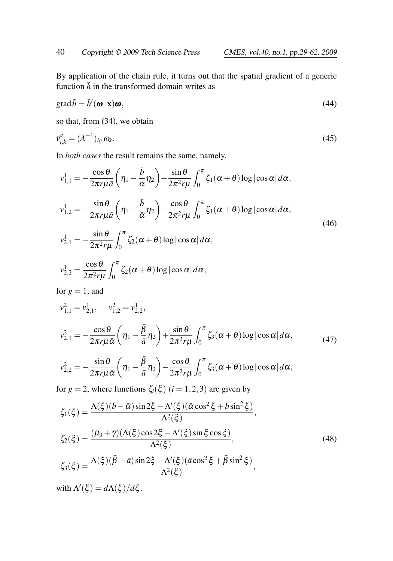By application of the chain rule, it turns out that the spatial gradient of a generic function  $\tilde{h}$  in the transformed domain writes as

$$
\text{grad}\,\tilde{h} = \tilde{h}'(\boldsymbol{\omega}\cdot\mathbf{x})\boldsymbol{\omega},\tag{44}
$$

so that, from (34), we obtain

$$
\tilde{v}_{i,k}^g = (A^{-1})_{ig} \omega_k. \tag{45}
$$

In *both cases* the result remains the same, namely,

$$
v_{1,1}^{1} = -\frac{\cos\theta}{2\pi r\mu\bar{a}} \left( \eta_{1} - \frac{\bar{b}}{\bar{\alpha}} \eta_{2} \right) + \frac{\sin\theta}{2\pi^{2}r\mu} \int_{0}^{\pi} \zeta_{1}(\alpha + \theta) \log |\cos\alpha| d\alpha,
$$
  
\n
$$
v_{1,2}^{1} = -\frac{\sin\theta}{2\pi r\mu\bar{a}} \left( \eta_{1} - \frac{\bar{b}}{\bar{\alpha}} \eta_{2} \right) - \frac{\cos\theta}{2\pi^{2}r\mu} \int_{0}^{\pi} \zeta_{1}(\alpha + \theta) \log |\cos\alpha| d\alpha,
$$
  
\n
$$
v_{2,1}^{1} = -\frac{\sin\theta}{2\pi^{2}r\mu} \int_{0}^{\pi} \zeta_{2}(\alpha + \theta) \log |\cos\alpha| d\alpha,
$$
  
\n
$$
v_{2,2}^{1} = \frac{\cos\theta}{2\pi^{2}r\mu} \int_{0}^{\pi} \zeta_{2}(\alpha + \theta) \log |\cos\alpha| d\alpha,
$$
  
\nfor  $g = 1$ , and  
\n
$$
v_{1,1}^{2} = v_{2,1}^{1}, \quad v_{1,2}^{2} = v_{2,2}^{1},
$$
  
\n
$$
v_{2,1}^{2} = -\frac{\cos\theta}{2\pi r\mu\bar{\alpha}} \left( \eta_{1} - \frac{\bar{\beta}}{\bar{a}} \eta_{2} \right) + \frac{\sin\theta}{2\pi^{2}r\mu} \int_{0}^{\pi} \zeta_{3}(\alpha + \theta) \log |\cos\alpha| d\alpha,
$$
  
\n
$$
\sin\theta \left( \frac{\bar{\beta}}{\bar{a}} \right) - \cos\theta \left( \frac{\pi}{\bar{a}} \right).
$$
  
\n(47)

$$
v_{2,2}^2 = -\frac{\sin\theta}{2\pi r\mu\bar{\alpha}} \left(\eta_1 - \frac{\bar{\beta}}{\bar{a}}\eta_2\right) - \frac{\cos\theta}{2\pi^2 r\mu} \int_0^\pi \zeta_3(\alpha + \theta) \log|\cos\alpha| d\alpha,
$$

for  $g = 2$ , where functions  $\zeta_i(\xi)$   $(i = 1, 2, 3)$  are given by

$$
\zeta_1(\xi) = \frac{\Lambda(\xi)(\bar{b} - \bar{\alpha})\sin 2\xi - \Lambda'(\xi)(\bar{\alpha}\cos^2\xi + \bar{b}\sin^2\xi)}{\Lambda^2(\xi)},
$$
  
\n
$$
\zeta_2(\xi) = \frac{(\bar{\mu}_3 + \bar{\gamma})(\Lambda(\xi)\cos 2\xi - \Lambda'(\xi)\sin\xi\cos\xi)}{\Lambda^2(\xi)},
$$
  
\n
$$
\zeta_3(\xi) = \frac{\Lambda(\xi)(\bar{\beta} - \bar{a})\sin 2\xi - \Lambda'(\xi)(\bar{a}\cos^2\xi + \bar{\beta}\sin^2\xi)}{\Lambda^2(\xi)},
$$
\n(48)

with  $\Lambda'(\xi) = d\Lambda(\xi)/d\xi$ .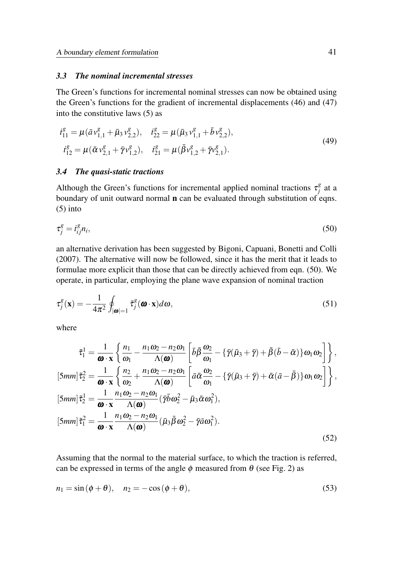## *3.3 The nominal incremental stresses*

The Green's functions for incremental nominal stresses can now be obtained using the Green's functions for the gradient of incremental displacements (46) and (47) into the constitutive laws (5) as

$$
\begin{aligned}\ni_{11}^g &= \mu(\bar{a}\,v_{1,1}^g + \bar{\mu}_3\,v_{2,2}^g), & i_{22}^g &= \mu(\bar{\mu}_3\,v_{1,1}^g + \bar{b}\,v_{2,2}^g), \\
i_{12}^g &= \mu(\bar{\alpha}\,v_{2,1}^g + \bar{\gamma}\,v_{1,2}^g), & i_{21}^g &= \mu(\bar{\beta}\,v_{1,2}^g + \bar{\gamma}\,v_{2,1}^g).\n\end{aligned}\n\tag{49}
$$

## *3.4 The quasi-static tractions*

Although the Green's functions for incremental applied nominal tractions  $\tau_i^g$ *j* at a boundary of unit outward normal **n** can be evaluated through substitution of eqns. (5) into

$$
\tau_j^g = i_{ij}^g n_i,\tag{50}
$$

an alternative derivation has been suggested by Bigoni, Capuani, Bonetti and Colli (2007). The alternative will now be followed, since it has the merit that it leads to formulae more explicit than those that can be directly achieved from eqn. (50). We operate, in particular, employing the plane wave expansion of nominal traction

$$
\tau_j^g(\mathbf{x}) = -\frac{1}{4\pi^2} \oint_{|\boldsymbol{\omega}|=1} \tilde{\tau}_j^g(\boldsymbol{\omega} \cdot \mathbf{x}) d\boldsymbol{\omega},\tag{51}
$$

where

$$
\tilde{\tau}_1^1 = \frac{1}{\omega \cdot x} \left\{ \frac{n_1}{\omega_1} - \frac{n_1 \omega_2 - n_2 \omega_1}{\Lambda(\omega)} \left[ \bar{b} \bar{\beta} \frac{\omega_2}{\omega_1} - \{ \bar{\gamma} (\bar{\mu}_3 + \bar{\gamma}) + \bar{\beta} (\bar{b} - \bar{\alpha}) \} \omega_1 \omega_2 \right] \right\},
$$
\n
$$
[5mm] \tilde{\tau}_2^2 = \frac{1}{\omega \cdot x} \left\{ \frac{n_2}{\omega_2} + \frac{n_1 \omega_2 - n_2 \omega_1}{\Lambda(\omega)} \left[ \bar{a} \bar{\alpha} \frac{\omega_2}{\omega_1} - \{ \bar{\gamma} (\bar{\mu}_3 + \bar{\gamma}) + \bar{\alpha} (\bar{a} - \bar{\beta}) \} \omega_1 \omega_2 \right] \right\},
$$
\n
$$
[5mm] \tilde{\tau}_2^1 = \frac{1}{\omega \cdot x} \frac{n_1 \omega_2 - n_2 \omega_1}{\Lambda(\omega)} (\bar{\gamma} \bar{b} \omega_2^2 - \bar{\mu}_3 \bar{\alpha} \omega_1^2),
$$
\n
$$
[5mm] \tilde{\tau}_1^2 = \frac{1}{\omega \cdot x} \frac{n_1 \omega_2 - n_2 \omega_1}{\Lambda(\omega)} (\bar{\mu}_3 \bar{\beta} \omega_2^2 - \bar{\gamma} \bar{a} \omega_1^2).
$$
\n
$$
(52)
$$

Assuming that the normal to the material surface, to which the traction is referred, can be expressed in terms of the angle  $\phi$  measured from  $\theta$  (see Fig. 2) as

$$
n_1 = \sin(\phi + \theta), \quad n_2 = -\cos(\phi + \theta), \tag{53}
$$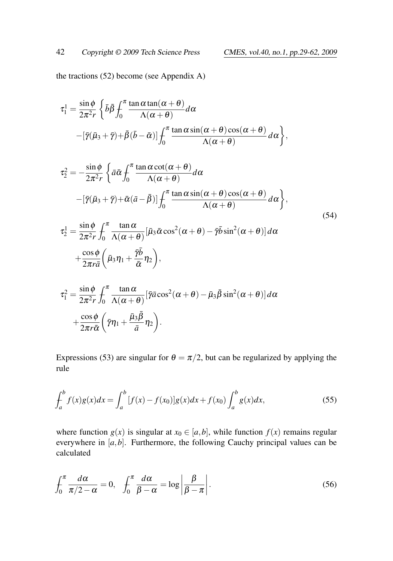the tractions (52) become (see Appendix A)

$$
\tau_1^1 = \frac{\sin \phi}{2\pi^2 r} \left\{ \bar{b} \bar{\beta} \int_0^{\pi} \frac{\tan \alpha \tan(\alpha + \theta)}{\Lambda(\alpha + \theta)} d\alpha - [\bar{\gamma}(\bar{\mu}_3 + \bar{\gamma}) + \bar{\beta}(\bar{b} - \bar{\alpha})] \int_0^{\pi} \frac{\tan \alpha \sin(\alpha + \theta) \cos(\alpha + \theta)}{\Lambda(\alpha + \theta)} d\alpha \right\},\,
$$

$$
\tau_2^2 = -\frac{\sin\phi}{2\pi^2 r} \left\{ \bar{a}\bar{\alpha} \int_0^\pi \frac{\tan\alpha \cot(\alpha + \theta)}{\Lambda(\alpha + \theta)} d\alpha \right. \left. -[\bar{\gamma}(\bar{\mu}_3 + \bar{\gamma}) + \bar{\alpha}(\bar{a} - \bar{\beta})] \int_0^\pi \frac{\tan\alpha \sin(\alpha + \theta) \cos(\alpha + \theta)}{\Lambda(\alpha + \theta)} d\alpha \right\},
$$
\n(54)

$$
\tau_2^1 = \frac{\sin \phi}{2\pi^2 r} \int_0^{\pi} \frac{\tan \alpha}{\Lambda(\alpha + \theta)} [\bar{\mu}_3 \bar{\alpha} \cos^2(\alpha + \theta) - \bar{\gamma} \bar{b} \sin^2(\alpha + \theta)] d\alpha \n+ \frac{\cos \phi}{2\pi r \bar{a}} (\bar{\mu}_3 \eta_1 + \frac{\bar{\gamma} \bar{b}}{\bar{\alpha}} \eta_2),
$$

$$
\tau_1^2 = \frac{\sin \phi}{2\pi^2 r} \int_0^{\pi} \frac{\tan \alpha}{\Lambda(\alpha + \theta)} [\bar{\gamma} \bar{a} \cos^2(\alpha + \theta) - \bar{\mu}_3 \bar{\beta} \sin^2(\alpha + \theta)] d\alpha + \frac{\cos \phi}{2\pi r \bar{\alpha}} (\bar{\gamma} \eta_1 + \frac{\bar{\mu}_3 \bar{\beta}}{\bar{a}} \eta_2).
$$

Expressions (53) are singular for  $\theta = \pi/2$ , but can be regularized by applying the rule

$$
\int_{a}^{b} f(x)g(x)dx = \int_{a}^{b} [f(x) - f(x_0)]g(x)dx + f(x_0)\int_{a}^{b} g(x)dx,
$$
\n(55)

where function  $g(x)$  is singular at  $x_0 \in [a, b]$ , while function  $f(x)$  remains regular everywhere in [*a*,*b*]. Furthermore, the following Cauchy principal values can be calculated

$$
\int_0^\pi \frac{d\alpha}{\pi/2 - \alpha} = 0, \quad \int_0^\pi \frac{d\alpha}{\beta - \alpha} = \log \left| \frac{\beta}{\beta - \pi} \right|.
$$
\n(56)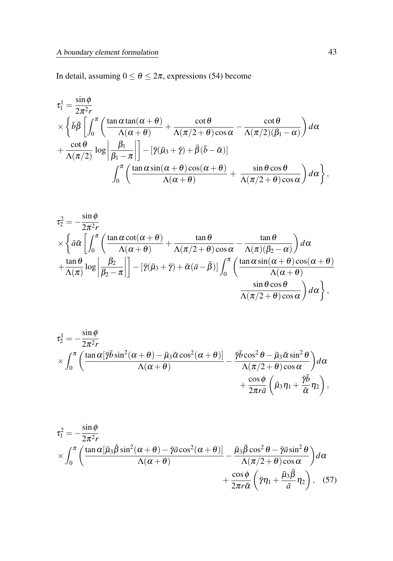In detail, assuming  $0 \le \theta \le 2\pi$ , expressions (54) become

$$
\tau_1^1 = \frac{\sin \phi}{2\pi^2 r} \times \left\{ \bar{b}\bar{\beta} \left[ \int_0^{\pi} \left( \frac{\tan \alpha \tan(\alpha + \theta)}{\Lambda(\alpha + \theta)} + \frac{\cot \theta}{\Lambda(\pi/2 + \theta)\cos \alpha} - \frac{\cot \theta}{\Lambda(\pi/2)(\beta_1 - \alpha)} \right) d\alpha \right. \left. + \frac{\cot \theta}{\Lambda(\pi/2)} \log \left| \frac{\beta_1}{\beta_1 - \pi} \right| \right] - \left[ \bar{\gamma}(\bar{\mu}_3 + \bar{\gamma}) + \bar{\beta}(\bar{b} - \bar{\alpha}) \right] \int_0^{\pi} \left( \frac{\tan \alpha \sin(\alpha + \theta)\cos(\alpha + \theta)}{\Lambda(\alpha + \theta)} + \frac{\sin \theta \cos \theta}{\Lambda(\pi/2 + \theta)\cos \alpha} \right) d\alpha \right\},
$$

$$
\tau_2^2 = -\frac{\sin \phi}{2\pi^2 r} \times \left\{ \bar{a}\bar{\alpha} \left[ \int_0^{\pi} \left( \frac{\tan \alpha \cot(\alpha + \theta)}{\Lambda(\alpha + \theta)} + \frac{\tan \theta}{\Lambda(\pi/2 + \theta) \cos \alpha} - \frac{\tan \theta}{\Lambda(\pi)(\beta_2 - \alpha)} \right) d\alpha + \frac{\tan \theta}{\Lambda(\pi)} \log \left| \frac{\beta_2}{\beta_2 - \pi} \right| \right] - \left[ \bar{\gamma}(\bar{\mu}_3 + \bar{\gamma}) + \bar{\alpha}(\bar{a} - \bar{\beta}) \right] \int_0^{\pi} \left( \frac{\tan \alpha \sin(\alpha + \theta) \cos(\alpha + \theta)}{\Lambda(\alpha + \theta)} \frac{\sin \theta \cos \theta}{\Lambda(\pi/2 + \theta) \cos \alpha} \right) d\alpha \right\},
$$

$$
\tau_2^1 = -\frac{\sin \phi}{2\pi^2 r} \times \int_0^{\pi} \left( \frac{\tan \alpha [\bar{\gamma} \bar{b} \sin^2(\alpha + \theta) - \bar{\mu}_3 \bar{\alpha} \cos^2(\alpha + \theta)]}{\Lambda(\alpha + \theta)} - \frac{\bar{\gamma} \bar{b} \cos^2 \theta - \bar{\mu}_3 \bar{\alpha} \sin^2 \theta}{\Lambda(\pi/2 + \theta) \cos \alpha} \right) d\alpha \n+ \frac{\cos \phi}{2\pi r \bar{a}} \left( \bar{\mu}_3 \eta_1 + \frac{\bar{\gamma} \bar{b}}{\bar{\alpha}} \eta_2 \right),
$$

$$
\tau_1^2 = -\frac{\sin\phi}{2\pi^2 r} \times \int_0^{\pi} \left( \frac{\tan\alpha [\bar{\mu}_3\bar{\beta}\sin^2(\alpha+\theta) - \bar{\gamma}\bar{a}\cos^2(\alpha+\theta)]}{\Lambda(\alpha+\theta)} - \frac{\bar{\mu}_3\bar{\beta}\cos^2\theta - \bar{\gamma}\bar{a}\sin^2\theta}{\Lambda(\pi/2+\theta)\cos\alpha} \right) d\alpha + \frac{\cos\phi}{2\pi r\bar{\alpha}} \left( \bar{\gamma}\eta_1 + \frac{\bar{\mu}_3\bar{\beta}}{\bar{a}}\eta_2 \right), \quad (57)
$$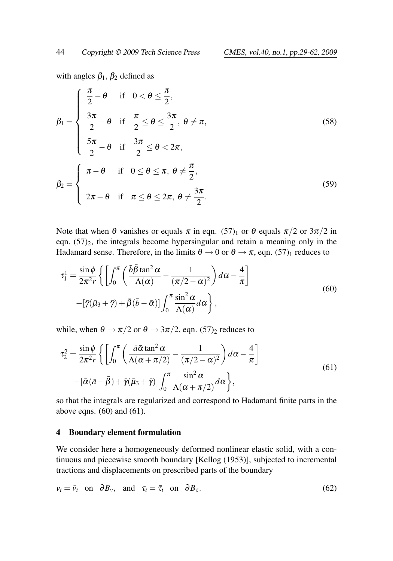with angles  $\beta_1$ ,  $\beta_2$  defined as

$$
\beta_1 = \begin{cases}\n\frac{\pi}{2} - \theta & \text{if } 0 < \theta \le \frac{\pi}{2}, \\
\frac{3\pi}{2} - \theta & \text{if } \frac{\pi}{2} \le \theta \le \frac{3\pi}{2}, \theta \ne \pi, \\
\frac{5\pi}{2} - \theta & \text{if } \frac{3\pi}{2} \le \theta < 2\pi, \\
\frac{\pi}{2} - \theta & \text{if } 0 \le \theta \le \pi, \theta \ne \frac{\pi}{2}, \\
2\pi - \theta & \text{if } \pi \le \theta \le 2\pi, \theta \ne \frac{3\pi}{2}.\n\end{cases}
$$
\n(59)

Note that when  $\theta$  vanishes or equals  $\pi$  in eqn. (57)<sub>1</sub> or  $\theta$  equals  $\pi/2$  or  $3\pi/2$  in eqn.  $(57)_2$ , the integrals become hypersingular and retain a meaning only in the Hadamard sense. Therefore, in the limits  $\theta \to 0$  or  $\theta \to \pi$ , eqn. (57)<sub>1</sub> reduces to

$$
\tau_1^1 = \frac{\sin \phi}{2\pi^2 r} \left\{ \left[ \int_0^{\pi} \left( \frac{\bar{b}\bar{\beta} \tan^2 \alpha}{\Lambda(\alpha)} - \frac{1}{(\pi/2 - \alpha)^2} \right) d\alpha - \frac{4}{\pi} \right] - \left[ \bar{\gamma}(\bar{\mu}_3 + \bar{\gamma}) + \bar{\beta}(\bar{b} - \bar{\alpha}) \right] \int_0^{\pi} \frac{\sin^2 \alpha}{\Lambda(\alpha)} d\alpha \right\},\tag{60}
$$

while, when  $\theta \rightarrow \pi/2$  or  $\theta \rightarrow 3\pi/2$ , eqn. (57)<sub>2</sub> reduces to

$$
\tau_2^2 = \frac{\sin \phi}{2\pi^2 r} \left\{ \left[ \int_0^{\pi} \left( \frac{\bar{a} \bar{\alpha} \tan^2 \alpha}{\Lambda(\alpha + \pi/2)} - \frac{1}{(\pi/2 - \alpha)^2} \right) d\alpha - \frac{4}{\pi} \right] - \left[ \bar{\alpha} (\bar{a} - \bar{\beta}) + \bar{\gamma} (\bar{\mu}_3 + \bar{\gamma}) \right] \int_0^{\pi} \frac{\sin^2 \alpha}{\Lambda(\alpha + \pi/2)} d\alpha \right\},\tag{61}
$$

so that the integrals are regularized and correspond to Hadamard finite parts in the above eqns.  $(60)$  and  $(61)$ .

#### 4 Boundary element formulation

We consider here a homogeneously deformed nonlinear elastic solid, with a continuous and piecewise smooth boundary [Kellog (1953)], subjected to incremental tractions and displacements on prescribed parts of the boundary

$$
v_i = \bar{v}_i \quad \text{on} \quad \partial B_v, \quad \text{and} \quad \tau_i = \bar{\tau}_i \quad \text{on} \quad \partial B_\tau. \tag{62}
$$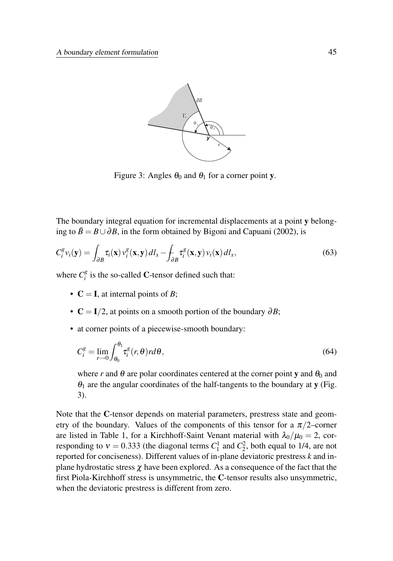

Figure 3: Angles  $\theta_0$  and  $\theta_1$  for a corner point y.

The boundary integral equation for incremental displacements at a point y belonging to  $\bar{B} = B \cup \partial B$ , in the form obtained by Bigoni and Capuani (2002), is

$$
C_i^g v_i(\mathbf{y}) = \int_{\partial B} \tau_i(\mathbf{x}) v_i^g(\mathbf{x}, \mathbf{y}) dl_x - \int_{\partial B} \tau_i^g(\mathbf{x}, \mathbf{y}) v_i(\mathbf{x}) dl_x, \tag{63}
$$

where  $C_i^g$  $i$ <sup>8</sup> is the so-called **C**-tensor defined such that:

- $C = I$ , at internal points of *B*;
- $C = I/2$ , at points on a smooth portion of the boundary  $\partial B$ ;
- at corner points of a piecewise-smooth boundary:

$$
C_i^g = \lim_{r \to 0} \int_{\theta_0}^{\theta_1} \tau_i^g(r, \theta) r d\theta,
$$
\n(64)

where *r* and  $\theta$  are polar coordinates centered at the corner point **y** and  $\theta_0$  and  $\theta_1$  are the angular coordinates of the half-tangents to the boundary at y (Fig. 3).

Note that the C-tensor depends on material parameters, prestress state and geometry of the boundary. Values of the components of this tensor for a  $\pi/2$ –corner are listed in Table 1, for a Kirchhoff-Saint Venant material with  $\lambda_0/\mu_0 = 2$ , corresponding to  $v = 0.333$  (the diagonal terms  $C_1^1$  and  $C_2^2$ , both equal to 1/4, are not reported for conciseness). Different values of in-plane deviatoric prestress *k* and inplane hydrostatic stress  $\chi$  have been explored. As a consequence of the fact that the first Piola-Kirchhoff stress is unsymmetric, the C-tensor results also unsymmetric, when the deviatoric prestress is different from zero.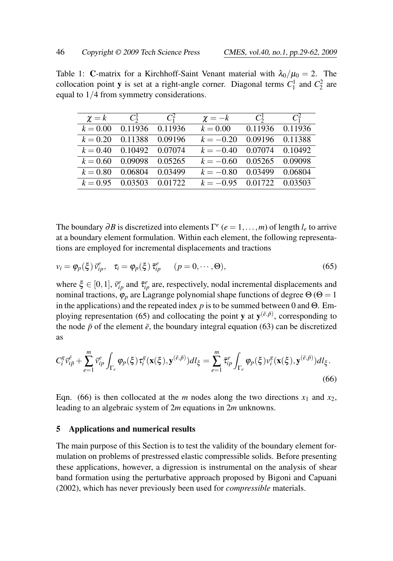Table 1: C-matrix for a Kirchhoff-Saint Venant material with  $\lambda_0/\mu_0 = 2$ . The collocation point **y** is set at a right-angle corner. Diagonal terms  $C_1^1$  and  $C_2^2$  are equal to 1/4 from symmetry considerations.

| $\chi = k$ | $C_2^1$ | $C_1^2$ | $\chi = -k$ | $C_2^1$ | $C_1^2$ |
|------------|---------|---------|-------------|---------|---------|
| $k = 0.00$ | 0.11936 | 0.11936 | $k = 0.00$  | 0.11936 | 0.11936 |
| $k = 0.20$ | 0.11388 | 0.09196 | $k = -0.20$ | 0.09196 | 0.11388 |
| $k = 0.40$ | 0.10492 | 0.07074 | $k = -0.40$ | 0.07074 | 0.10492 |
| $k = 0.60$ | 0.09098 | 0.05265 | $k = -0.60$ | 0.05265 | 0.09098 |
| $k = 0.80$ | 0.06804 | 0.03499 | $k = -0.80$ | 0.03499 | 0.06804 |
| $k = 0.95$ | 0.03503 | 0.01722 | $k = -0.95$ | 0.01722 | 0.03503 |

The boundary  $\partial B$  is discretized into elements  $\Gamma^e$  ( $e = 1, \dots, m$ ) of length  $l_e$  to arrive at a boundary element formulation. Within each element, the following representations are employed for incremental displacements and tractions

$$
v_i = \varphi_p(\xi) \,\bar{v}_{ip}^e, \quad \tau_i = \varphi_p(\xi) \,\bar{\tau}_{ip}^e \qquad (p = 0, \cdots, \Theta), \tag{65}
$$

where  $\xi \in [0,1]$ ,  $\bar{v}_{ip}^e$  and  $\bar{\tau}_{ip}^e$  are, respectively, nodal incremental displacements and nominal tractions,  $\varphi_p$  are Lagrange polynomial shape functions of degree  $\Theta$  ( $\Theta = 1$ ) in the applications) and the repeated index  $p$  is to be summed between 0 and  $\Theta$ . Employing representation (65) and collocating the point **y** at  $y^{(\bar{e}, \bar{p})}$ , corresponding to the node  $\bar{p}$  of the element  $\bar{e}$ , the boundary integral equation (63) can be discretized as

$$
C_i^g \bar{v}_{i\bar{p}}^{\bar{e}} + \sum_{e=1}^m \bar{v}_{ip}^e \int_{\Gamma_e} \varphi_p(\xi) \tau_i^g(\mathbf{x}(\xi), \mathbf{y}^{(\bar{e}, \bar{p})}) d l_{\xi} = \sum_{e=1}^m \bar{\tau}_{ip}^e \int_{\Gamma_e} \varphi_p(\xi) v_i^g(\mathbf{x}(\xi), \mathbf{y}^{(\bar{e}, \bar{p})}) d l_{\xi}.
$$
\n(66)

Eqn. (66) is then collocated at the *m* nodes along the two directions  $x_1$  and  $x_2$ , leading to an algebraic system of 2*m* equations in 2*m* unknowns.

## 5 Applications and numerical results

The main purpose of this Section is to test the validity of the boundary element formulation on problems of prestressed elastic compressible solids. Before presenting these applications, however, a digression is instrumental on the analysis of shear band formation using the perturbative approach proposed by Bigoni and Capuani (2002), which has never previously been used for *compressible* materials.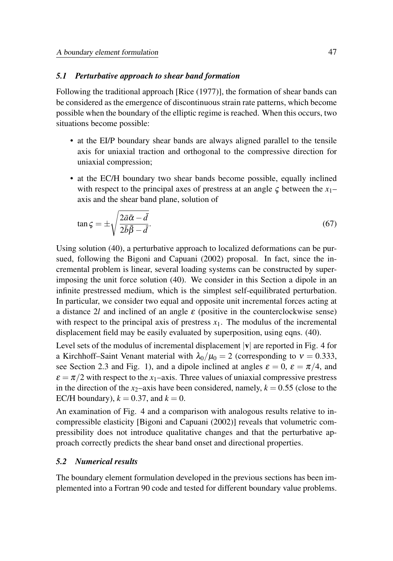## *5.1 Perturbative approach to shear band formation*

Following the traditional approach [Rice (1977)], the formation of shear bands can be considered as the emergence of discontinuous strain rate patterns, which become possible when the boundary of the elliptic regime is reached. When this occurs, two situations become possible:

- at the EI/P boundary shear bands are always aligned parallel to the tensile axis for uniaxial traction and orthogonal to the compressive direction for uniaxial compression;
- at the EC/H boundary two shear bands become possible, equally inclined with respect to the principal axes of prestress at an angle  $\zeta$  between the  $x_1$ – axis and the shear band plane, solution of

$$
\tan \zeta = \pm \sqrt{\frac{2\bar{a}\bar{\alpha} - \bar{d}}{2\bar{b}\bar{\beta} - \bar{d}}}.
$$
\n(67)

Using solution (40), a perturbative approach to localized deformations can be pursued, following the Bigoni and Capuani (2002) proposal. In fact, since the incremental problem is linear, several loading systems can be constructed by superimposing the unit force solution (40). We consider in this Section a dipole in an infinite prestressed medium, which is the simplest self-equilibrated perturbation. In particular, we consider two equal and opposite unit incremental forces acting at a distance 2*l* and inclined of an angle  $\varepsilon$  (positive in the counterclockwise sense) with respect to the principal axis of prestress  $x_1$ . The modulus of the incremental displacement field may be easily evaluated by superposition, using eqns. (40).

Level sets of the modulus of incremental displacement  $|v|$  are reported in Fig. 4 for a Kirchhoff–Saint Venant material with  $\lambda_0/\mu_0 = 2$  (corresponding to  $v = 0.333$ , see Section 2.3 and Fig. 1), and a dipole inclined at angles  $\varepsilon = 0$ ,  $\varepsilon = \pi/4$ , and  $\varepsilon = \pi/2$  with respect to the  $x_1$ –axis. Three values of uniaxial compressive prestress in the direction of the  $x_2$ -axis have been considered, namely,  $k = 0.55$  (close to the EC/H boundary),  $k = 0.37$ , and  $k = 0$ .

An examination of Fig. 4 and a comparison with analogous results relative to incompressible elasticity [Bigoni and Capuani (2002)] reveals that volumetric compressibility does not introduce qualitative changes and that the perturbative approach correctly predicts the shear band onset and directional properties.

## *5.2 Numerical results*

The boundary element formulation developed in the previous sections has been implemented into a Fortran 90 code and tested for different boundary value problems.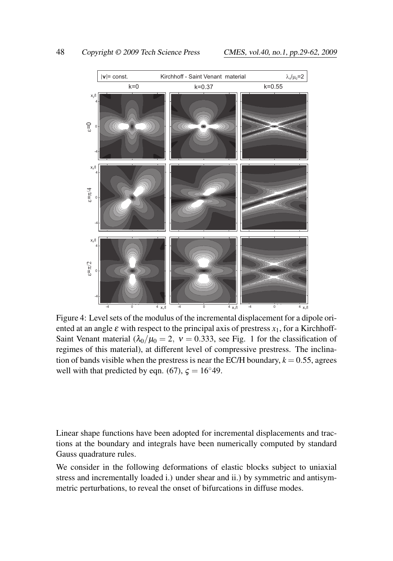

Figure 4: Level sets of the modulus of the incremental displacement for a dipole oriented at an angle  $\varepsilon$  with respect to the principal axis of prestress  $x_1$ , for a Kirchhoff-Saint Venant material  $(\lambda_0/\mu_0 = 2, v = 0.333,$  see Fig. 1 for the classification of regimes of this material), at different level of compressive prestress. The inclination of bands visible when the prestress is near the EC/H boundary,  $k = 0.55$ , agrees well with that predicted by eqn. (67),  $\zeta = 16°49$ .

Linear shape functions have been adopted for incremental displacements and tractions at the boundary and integrals have been numerically computed by standard Gauss quadrature rules.

We consider in the following deformations of elastic blocks subject to uniaxial stress and incrementally loaded i.) under shear and ii.) by symmetric and antisymmetric perturbations, to reveal the onset of bifurcations in diffuse modes.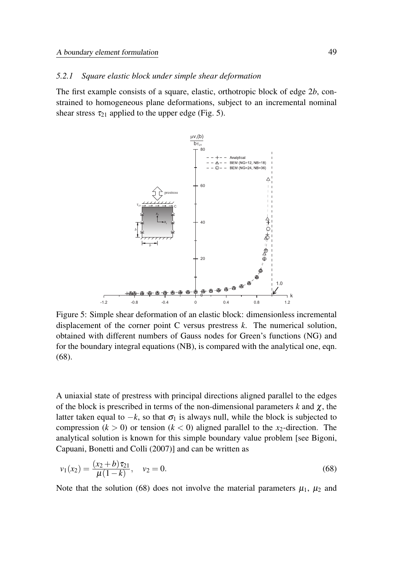#### *5.2.1 Square elastic block under simple shear deformation*

The first example consists of a square, elastic, orthotropic block of edge 2*b*, constrained to homogeneous plane deformations, subject to an incremental nominal shear stress  $\tau_{21}$  applied to the upper edge (Fig. 5).



Figure 5: Simple shear deformation of an elastic block: dimensionless incremental displacement of the corner point C versus prestress *k*. The numerical solution, obtained with different numbers of Gauss nodes for Green's functions (NG) and for the boundary integral equations (NB), is compared with the analytical one, eqn. (68).

A uniaxial state of prestress with principal directions aligned parallel to the edges of the block is prescribed in terms of the non-dimensional parameters  $k$  and  $\chi$ , the latter taken equal to  $-k$ , so that  $\sigma_1$  is always null, while the block is subjected to compression  $(k > 0)$  or tension  $(k < 0)$  aligned parallel to the *x*<sub>2</sub>-direction. The analytical solution is known for this simple boundary value problem [see Bigoni, Capuani, Bonetti and Colli (2007)] and can be written as

$$
v_1(x_2) = \frac{(x_2 + b)\tau_{21}}{\mu(1 - k)}, \quad v_2 = 0.
$$
\n(68)

Note that the solution (68) does not involve the material parameters  $\mu_1$ ,  $\mu_2$  and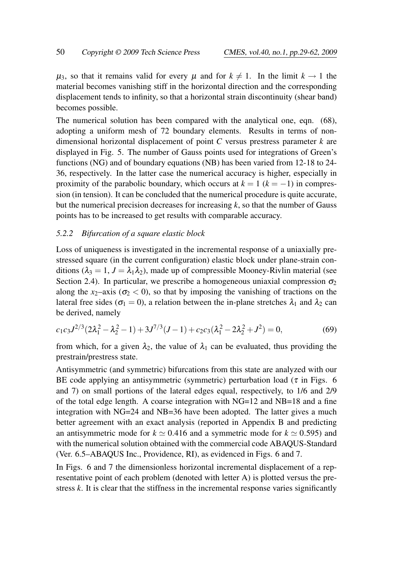$\mu_3$ , so that it remains valid for every  $\mu$  and for  $k \neq 1$ . In the limit  $k \to 1$  the material becomes vanishing stiff in the horizontal direction and the corresponding displacement tends to infinity, so that a horizontal strain discontinuity (shear band) becomes possible.

The numerical solution has been compared with the analytical one, eqn. (68), adopting a uniform mesh of 72 boundary elements. Results in terms of nondimensional horizontal displacement of point *C* versus prestress parameter *k* are displayed in Fig. 5. The number of Gauss points used for integrations of Green's functions (NG) and of boundary equations (NB) has been varied from 12-18 to 24- 36, respectively. In the latter case the numerical accuracy is higher, especially in proximity of the parabolic boundary, which occurs at  $k = 1$  ( $k = -1$ ) in compression (in tension). It can be concluded that the numerical procedure is quite accurate, but the numerical precision decreases for increasing *k*, so that the number of Gauss points has to be increased to get results with comparable accuracy.

## *5.2.2 Bifurcation of a square elastic block*

Loss of uniqueness is investigated in the incremental response of a uniaxially prestressed square (in the current configuration) elastic block under plane-strain conditions ( $\lambda_3 = 1$ ,  $J = \lambda_1 \lambda_2$ ), made up of compressible Mooney-Rivlin material (see Section 2.4). In particular, we prescribe a homogeneous uniaxial compression  $\sigma_2$ along the  $x_2$ -axis ( $\sigma_2$  < 0), so that by imposing the vanishing of tractions on the lateral free sides ( $\sigma_1 = 0$ ), a relation between the in-plane stretches  $\lambda_1$  and  $\lambda_2$  can be derived, namely

$$
c_1 c_3 J^{2/3} (2\lambda_1^2 - \lambda_2^2 - 1) + 3J^{7/3} (J - 1) + c_2 c_3 (\lambda_1^2 - 2\lambda_2^2 + J^2) = 0,
$$
\n(69)

from which, for a given  $\lambda_2$ , the value of  $\lambda_1$  can be evaluated, thus providing the prestrain/prestress state.

Antisymmetric (and symmetric) bifurcations from this state are analyzed with our BE code applying an antisymmetric (symmetric) perturbation load ( $\tau$  in Figs. 6 and 7) on small portions of the lateral edges equal, respectively, to 1/6 and 2/9 of the total edge length. A coarse integration with  $NG=12$  and  $NB=18$  and a fine integration with NG=24 and NB=36 have been adopted. The latter gives a much better agreement with an exact analysis (reported in Appendix B and predicting an antisymmetric mode for  $k \approx 0.416$  and a symmetric mode for  $k \approx 0.595$ ) and with the numerical solution obtained with the commercial code ABAQUS-Standard (Ver. 6.5–ABAQUS Inc., Providence, RI), as evidenced in Figs. 6 and 7.

In Figs. 6 and 7 the dimensionless horizontal incremental displacement of a representative point of each problem (denoted with letter A) is plotted versus the prestress *k*. It is clear that the stiffness in the incremental response varies significantly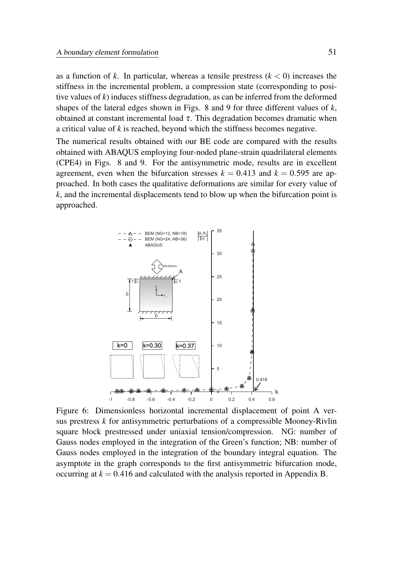as a function of *k*. In particular, whereas a tensile prestress  $(k < 0)$  increases the stiffness in the incremental problem, a compression state (corresponding to positive values of  $k$ ) induces stiffness degradation, as can be inferred from the deformed shapes of the lateral edges shown in Figs. 8 and 9 for three different values of *k*, obtained at constant incremental load  $τ$ . This degradation becomes dramatic when a critical value of *k* is reached, beyond which the stiffness becomes negative.

The numerical results obtained with our BE code are compared with the results obtained with ABAQUS employing four-noded plane-strain quadrilateral elements (CPE4) in Figs. 8 and 9. For the antisymmetric mode, results are in excellent agreement, even when the bifurcation stresses  $k = 0.413$  and  $k = 0.595$  are approached. In both cases the qualitative deformations are similar for every value of *k*, and the incremental displacements tend to blow up when the bifurcation point is approached.



Figure 6: Dimensionless horizontal incremental displacement of point A versus prestress *k* for antisymmetric perturbations of a compressible Mooney-Rivlin square block prestressed under uniaxial tension/compression. NG: number of Gauss nodes employed in the integration of the Green's function; NB: number of Gauss nodes employed in the integration of the boundary integral equation. The asymptote in the graph corresponds to the first antisymmetric bifurcation mode, occurring at  $k = 0.416$  and calculated with the analysis reported in Appendix B.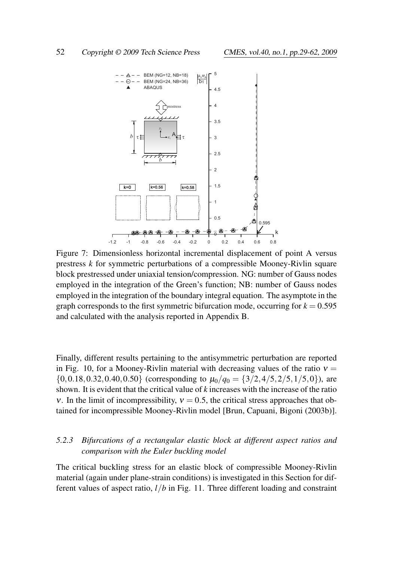

Figure 7: Dimensionless horizontal incremental displacement of point A versus prestress *k* for symmetric perturbations of a compressible Mooney-Rivlin square block prestressed under uniaxial tension/compression. NG: number of Gauss nodes employed in the integration of the Green's function; NB: number of Gauss nodes employed in the integration of the boundary integral equation. The asymptote in the graph corresponds to the first symmetric bifurcation mode, occurring for  $k = 0.595$ and calculated with the analysis reported in Appendix B.

Finally, different results pertaining to the antisymmetric perturbation are reported in Fig. 10, for a Mooney-Rivlin material with decreasing values of the ratio  $v =$  $\{0, 0.18, 0.32, 0.40, 0.50\}$  (corresponding to  $\mu_0/a_0 = \{3/2, 4/5, 2/5, 1/5, 0\}$ ), are shown. It is evident that the critical value of *k* increases with the increase of the ratio v. In the limit of incompressibility,  $v = 0.5$ , the critical stress approaches that obtained for incompressible Mooney-Rivlin model [Brun, Capuani, Bigoni (2003b)].

## *5.2.3 Bifurcations of a rectangular elastic block at different aspect ratios and comparison with the Euler buckling model*

The critical buckling stress for an elastic block of compressible Mooney-Rivlin material (again under plane-strain conditions) is investigated in this Section for different values of aspect ratio, *l*/*b* in Fig. 11. Three different loading and constraint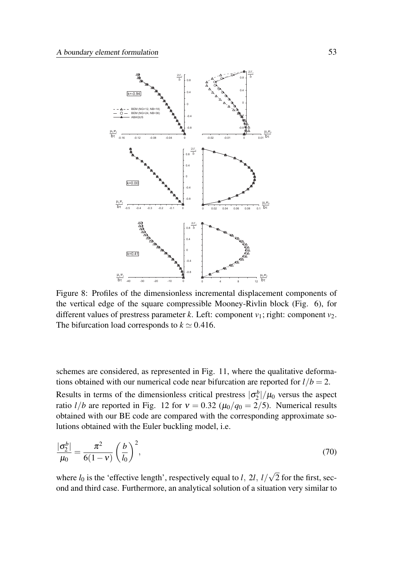

Figure 8: Profiles of the dimensionless incremental displacement components of the vertical edge of the square compressible Mooney-Rivlin block (Fig. 6), for different values of prestress parameter *k*. Left: component  $v_1$ ; right: component  $v_2$ . The bifurcation load corresponds to  $k \approx 0.416$ .

schemes are considered, as represented in Fig. 11, where the qualitative deformations obtained with our numerical code near bifurcation are reported for  $l/b = 2$ .

Results in terms of the dimensionless critical prestress  $|\sigma_2^b|/\mu_0$  versus the aspect ratio *l/b* are reported in Fig. 12 for  $v = 0.32$  ( $\mu_0/q_0 = 2/5$ ). Numerical results obtained with our BE code are compared with the corresponding approximate solutions obtained with the Euler buckling model, i.e.

$$
\frac{|\sigma_2^b|}{\mu_0} = \frac{\pi^2}{6(1-\nu)} \left(\frac{b}{l_0}\right)^2,\tag{70}
$$

where  $l_0$  is the 'effective length', respectively equal to  $l$ ,  $2l$ ,  $l$ / √ 2 for the first, second and third case. Furthermore, an analytical solution of a situation very similar to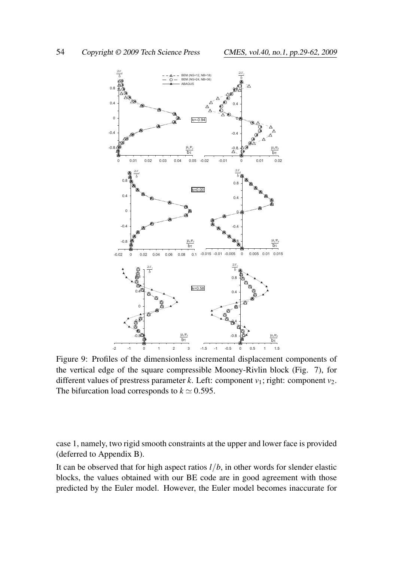

Figure 9: Profiles of the dimensionless incremental displacement components of the vertical edge of the square compressible Mooney-Rivlin block (Fig. 7), for different values of prestress parameter  $k$ . Left: component  $v_1$ ; right: component  $v_2$ . The bifurcation load corresponds to  $k \approx 0.595$ .

case 1, namely, two rigid smooth constraints at the upper and lower face is provided (deferred to Appendix B).

It can be observed that for high aspect ratios  $l/b$ , in other words for slender elastic blocks, the values obtained with our BE code are in good agreement with those predicted by the Euler model. However, the Euler model becomes inaccurate for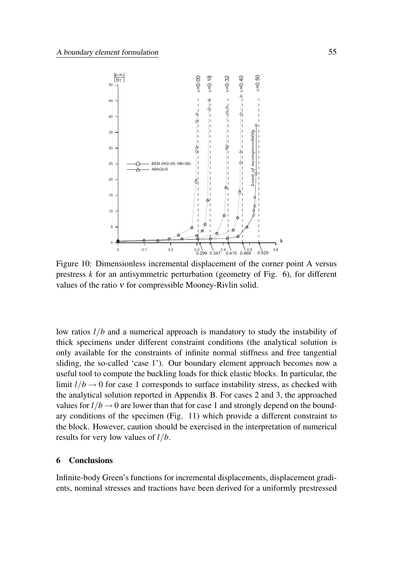

Figure 10: Dimensionless incremental displacement of the corner point A versus prestress  $k$  for an antisymmetric perturbation (geometry of Fig.  $6$ ), for different values of the ratio ν for compressible Mooney-Rivlin solid.

low ratios *l*/*b* and a numerical approach is mandatory to study the instability of thick specimens under different constraint conditions (the analytical solution is only available for the constraints of infinite normal stiffness and free tangential sliding, the so-called 'case 1'). Our boundary element approach becomes now a useful tool to compute the buckling loads for thick elastic blocks. In particular, the limit  $l/b \rightarrow 0$  for case 1 corresponds to surface instability stress, as checked with the analytical solution reported in Appendix B. For cases 2 and 3, the approached values for  $l/b \rightarrow 0$  are lower than that for case 1 and strongly depend on the boundary conditions of the specimen (Fig. 11) which provide a different constraint to the block. However, caution should be exercised in the interpretation of numerical results for very low values of *l*/*b*.

#### 6 Conclusions

Infinite-body Green's functions for incremental displacements, displacement gradients, nominal stresses and tractions have been derived for a uniformly prestressed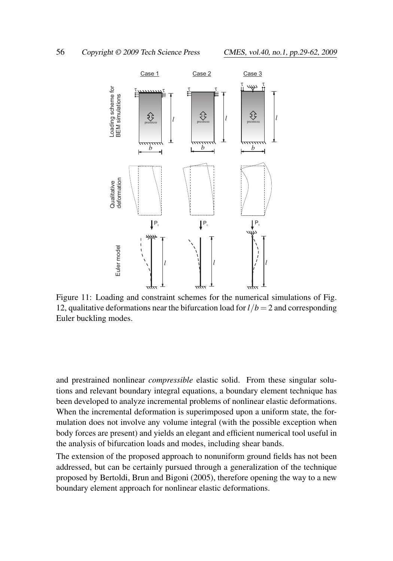

Figure 11: Loading and constraint schemes for the numerical simulations of Fig. 12, qualitative deformations near the bifurcation load for  $l/b = 2$  and corresponding Euler buckling modes.

and prestrained nonlinear *compressible* elastic solid. From these singular solutions and relevant boundary integral equations, a boundary element technique has been developed to analyze incremental problems of nonlinear elastic deformations. When the incremental deformation is superimposed upon a uniform state, the formulation does not involve any volume integral (with the possible exception when body forces are present) and yields an elegant and efficient numerical tool useful in the analysis of bifurcation loads and modes, including shear bands.

The extension of the proposed approach to nonuniform ground fields has not been addressed, but can be certainly pursued through a generalization of the technique proposed by Bertoldi, Brun and Bigoni (2005), therefore opening the way to a new boundary element approach for nonlinear elastic deformations.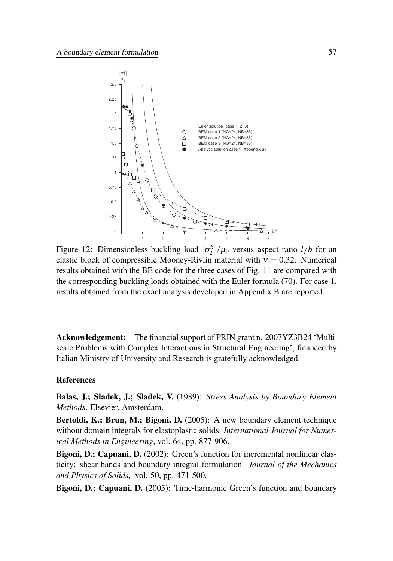

Figure 12: Dimensionless buckling load  $|\sigma_2^b|/\mu_0$  versus aspect ratio  $l/b$  for an elastic block of compressible Mooney-Rivlin material with  $v = 0.32$ . Numerical results obtained with the BE code for the three cases of Fig. 11 are compared with the corresponding buckling loads obtained with the Euler formula (70). For case 1, results obtained from the exact analysis developed in Appendix B are reported.

Acknowledgement: The financial support of PRIN grant n. 2007YZ3B24 'Multiscale Problems with Complex Interactions in Structural Engineering', financed by Italian Ministry of University and Research is gratefully acknowledged.

### References

Balas, J.; Sladek, J.; Sladek, V. (1989): *Stress Analysis by Boundary Element Methods*. Elsevier, Amsterdam.

Bertoldi, K.; Brun, M.; Bigoni, D. (2005): A new boundary element technique without domain integrals for elastoplastic solids. *International Journal for Numerical Methods in Engineering*, vol. 64, pp. 877-906.

Bigoni, D.; Capuani, D. (2002): Green's function for incremental nonlinear elasticity: shear bands and boundary integral formulation. *Journal of the Mechanics and Physics of Solids,* vol. 50, pp. 471-500.

Bigoni, D.; Capuani, D. (2005): Time-harmonic Green's function and boundary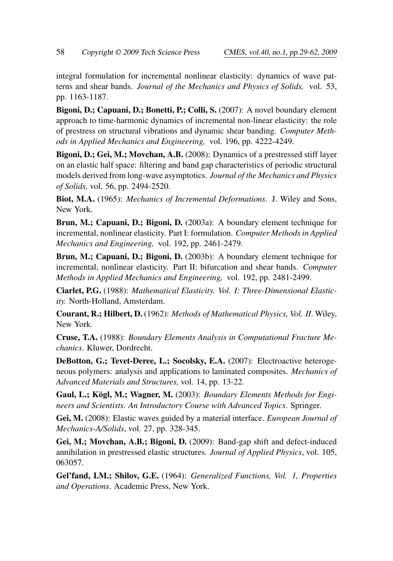integral formulation for incremental nonlinear elasticity: dynamics of wave patterns and shear bands. *Journal of the Mechanics and Physics of Solids,* vol. 53, pp. 1163-1187.

Bigoni, D.; Capuani, D.; Bonetti, P.; Colli, S. (2007): A novel boundary element approach to time-harmonic dynamics of incremental non-linear elasticity: the role of prestress on structural vibrations and dynamic shear banding. *Computer Methods in Applied Mechanics and Engineering,* vol. 196, pp. 4222-4249.

Bigoni, D.; Gei, M.; Movchan, A.B. (2008): Dynamics of a prestressed stiff layer on an elastic half space: filtering and band gap characteristics of periodic structural models derived from long-wave asymptotics. *Journal of the Mechanics and Physics of Solids,* vol. 56, pp. 2494-2520.

Biot, M.A. (1965): *Mechanics of Incremental Deformations*. J. Wiley and Sons, New York.

Brun, M.; Capuani, D.; Bigoni, D. (2003a): A boundary element technique for incremental, nonlinear elasticity. Part I: formulation. *Computer Methods in Applied Mechanics and Engineering,* vol. 192, pp. 2461-2479.

Brun, M.; Capuani, D.; Bigoni, D. (2003b): A boundary element technique for incremental, nonlinear elasticity. Part II: bifurcation and shear bands. *Computer Methods in Applied Mechanics and Engineering,* vol. 192, pp. 2481-2499.

Ciarlet, P.G. (1988): *Mathematical Elasticity. Vol. I: Three-Dimensional Elasticity.* North-Holland, Amsterdam.

Courant, R.; Hilbert, D. (1962): *Methods of Mathematical Physics, Vol. II*. Wiley, New York.

Cruse, T.A. (1988): *Boundary Elements Analysis in Computational Fracture Mechanics*. Kluwer, Dordrecht.

DeBotton, G.; Tevet-Deree, L.; Socolsky, E.A. (2007): Electroactive heterogeneous polymers: analysis and applications to laminated composites. *Mechanics of Advanced Materials and Structures,* vol. 14, pp. 13-22.

Gaul, L.; Kögl, M.; Wagner, M. (2003): *Boundary Elements Methods for Engineers and Scientists. An Introductory Course with Advanced Topics*. Springer.

Gei, M. (2008): Elastic waves guided by a material interface. *European Journal of Mechanics-A/Solids*, vol. 27, pp. 328-345.

Gei, M.; Movchan, A.B.; Bigoni, D. (2009): Band-gap shift and defect-induced annihilation in prestressed elastic structures. *Journal of Applied Physics*, vol. 105, 063057.

Gel'fand, I.M.; Shilov, G.E. (1964): *Generalized Functions, Vol. 1, Properties and Operations*. Academic Press, New York.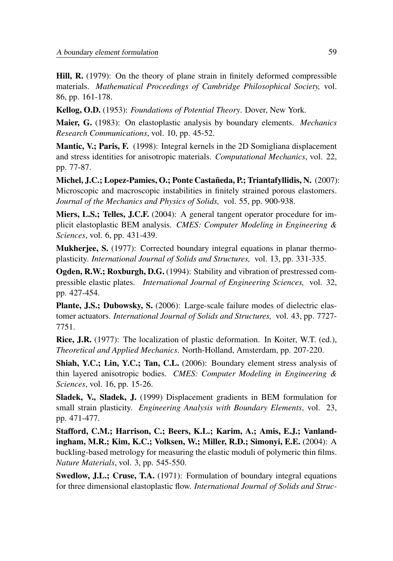Hill, R. (1979): On the theory of plane strain in finitely deformed compressible materials. *Mathematical Proceedings of Cambridge Philosophical Society,* vol. 86, pp. 161-178.

Kellog, O.D. (1953): *Foundations of Potential Theory*. Dover, New York.

Maier, G. (1983): On elastoplastic analysis by boundary elements. *Mechanics Research Communications*, vol. 10, pp. 45-52.

Mantic, V.; Paris, F. (1998): Integral kernels in the 2D Somigliana displacement and stress identities for anisotropic materials. *Computational Mechanics*, vol. 22, pp. 77-87.

Michel, J.C.; Lopez-Pamies, O.; Ponte Castañeda, P.; Triantafyllidis, N. (2007): Microscopic and macroscopic instabilities in finitely strained porous elastomers. *Journal of the Mechanics and Physics of Solids,* vol. 55, pp. 900-938.

Miers, L.S.; Telles, J.C.F. (2004): A general tangent operator procedure for implicit elastoplastic BEM analysis. *CMES: Computer Modeling in Engineering & Sciences*, vol. 6, pp. 431-439.

**Mukherjee, S.** (1977): Corrected boundary integral equations in planar thermoplasticity. *International Journal of Solids and Structures,* vol. 13, pp. 331-335.

Ogden, R.W.; Roxburgh, D.G. (1994): Stability and vibration of prestressed compressible elastic plates. *International Journal of Engineering Sciences,* vol. 32, pp. 427-454.

Plante, J.S.; Dubowsky, S. (2006): Large-scale failure modes of dielectric elastomer actuators. *International Journal of Solids and Structures,* vol. 43, pp. 7727- 7751.

Rice, J.R. (1977): The localization of plastic deformation. In Koiter, W.T. (ed.), *Theoretical and Applied Mechanics*. North-Holland, Amsterdam, pp. 207-220.

Shiah, Y.C.; Lin, Y.C.; Tan, C.L. (2006): Boundary element stress analysis of thin layered anisotropic bodies. *CMES: Computer Modeling in Engineering & Sciences*, vol. 16, pp. 15-26.

Sladek, V., Sladek, J. (1999) Displacement gradients in BEM formulation for small strain plasticity. *Engineering Analysis with Boundary Elements*, vol. 23, pp. 471-477.

Stafford, C.M.; Harrison, C.; Beers, K.L.; Karim, A.; Amis, E.J.; Vanlandingham, M.R.; Kim, K.C.; Volksen, W.; Miller, R.D.; Simonyi, E.E. (2004): A buckling-based metrology for measuring the elastic moduli of polymeric thin films. *Nature Materials*, vol. 3, pp. 545-550.

Swedlow, J.L.; Cruse, T.A. (1971): Formulation of boundary integral equations for three dimensional elastoplastic flow. *International Journal of Solids and Struc-*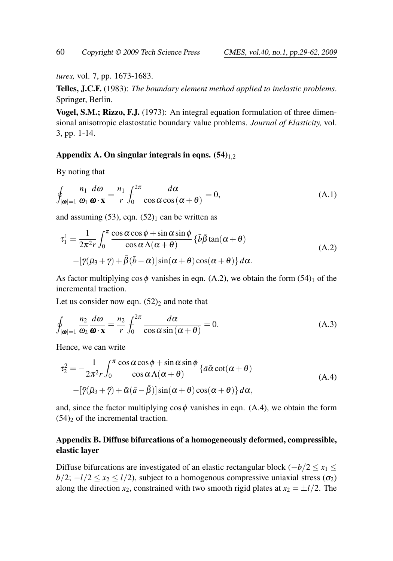*tures,* vol. 7, pp. 1673-1683.

Telles, J.C.F. (1983): *The boundary element method applied to inelastic problems*. Springer, Berlin.

Vogel, S.M.; Rizzo, F.J. (1973): An integral equation formulation of three dimensional anisotropic elastostatic boundary value problems. *Journal of Elasticity,* vol. 3, pp. 1-14.

#### Appendix A. On singular integrals in eqns.  $(54)_{1,2}$

By noting that

$$
\oint_{|\mathbf{\omega}|=1} \frac{n_1}{\omega_1} \frac{d\omega}{\mathbf{\omega} \cdot \mathbf{x}} = \frac{n_1}{r} \int_0^{2\pi} \frac{d\alpha}{\cos \alpha \cos(\alpha + \theta)} = 0,
$$
\n(A.1)

and assuming  $(53)$ , eqn.  $(52)_1$  can be written as

$$
\tau_1^1 = \frac{1}{2\pi^2 r} \int_0^{\pi} \frac{\cos\alpha \cos\phi + \sin\alpha \sin\phi}{\cos\alpha \Lambda(\alpha + \theta)} \left\{ \bar{b}\bar{\beta} \tan(\alpha + \theta) - \left[ \bar{\gamma}(\bar{\mu}_3 + \bar{\gamma}) + \bar{\beta}(\bar{b} - \bar{\alpha}) \right] \sin(\alpha + \theta) \cos(\alpha + \theta) \right\} d\alpha.
$$
\n(A.2)

As factor multiplying  $\cos \phi$  vanishes in eqn. (A.2), we obtain the form (54)<sub>1</sub> of the incremental traction.

Let us consider now eqn.  $(52)_2$  and note that

$$
\oint_{|\mathbf{\omega}|=1} \frac{n_2}{\omega_2} \frac{d\omega}{\mathbf{\omega} \cdot \mathbf{x}} = \frac{n_2}{r} \int_0^{2\pi} \frac{d\alpha}{\cos \alpha \sin(\alpha + \theta)} = 0.
$$
\n(A.3)

Hence, we can write

$$
\tau_2^2 = -\frac{1}{2\pi^2 r} \int_0^{\pi} \frac{\cos \alpha \cos \phi + \sin \alpha \sin \phi}{\cos \alpha \Lambda (\alpha + \theta)} \{\bar{a} \bar{\alpha} \cot(\alpha + \theta) - [\bar{\gamma}(\bar{\mu}_3 + \bar{\gamma}) + \bar{\alpha}(\bar{a} - \bar{\beta})] \sin(\alpha + \theta) \cos(\alpha + \theta)\} d\alpha,
$$
\n(A.4)

and, since the factor multiplying  $\cos \phi$  vanishes in eqn. (A.4), we obtain the form  $(54)$ <sub>2</sub> of the incremental traction.

## Appendix B. Diffuse bifurcations of a homogeneously deformed, compressible, elastic layer

Diffuse bifurcations are investigated of an elastic rectangular block  $(-b/2 \le x_1 \le$  $b/2$ ;  $-l/2 \le x_2 \le l/2$ ), subject to a homogenous compressive uniaxial stress ( $\sigma_2$ ) along the direction  $x_2$ , constrained with two smooth rigid plates at  $x_2 = \pm l/2$ . The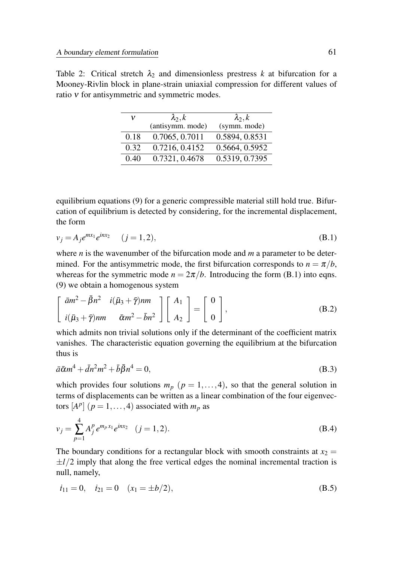| ν    | $\lambda_2, k$   | $\lambda_2, k$ |  |
|------|------------------|----------------|--|
|      | (antisymm. mode) | (symm. mode)   |  |
| 0.18 | 0.7065, 0.7011   | 0.5894, 0.8531 |  |
| 0.32 | 0.7216, 0.4152   | 0.5664, 0.5952 |  |
| 0.40 | 0.7321, 0.4678   | 0.5319, 0.7395 |  |

Table 2: Critical stretch  $\lambda_2$  and dimensionless prestress k at bifurcation for a Mooney-Rivlin block in plane-strain uniaxial compression for different values of ratio ν for antisymmetric and symmetric modes.

equilibrium equations (9) for a generic compressible material still hold true. Bifurcation of equilibrium is detected by considering, for the incremental displacement, the form

$$
v_j = A_j e^{imx_1} e^{inx_2} \t (j = 1, 2),
$$
\t(B.1)

where *n* is the wavenumber of the bifurcation mode and *m* a parameter to be determined. For the antisymmetric mode, the first bifurcation corresponds to  $n = \pi/b$ , whereas for the symmetric mode  $n = 2\pi/b$ . Introducing the form (B.1) into eqns. (9) we obtain a homogenous system

$$
\begin{bmatrix}\n\bar{a}m^2 - \bar{\beta}n^2 & i(\bar{\mu}_3 + \bar{\gamma})nm \\
i(\bar{\mu}_3 + \bar{\gamma})nm & \bar{\alpha}m^2 - \bar{b}n^2\n\end{bmatrix}\n\begin{bmatrix}\nA_1 \\
A_2\n\end{bmatrix} =\n\begin{bmatrix}\n0 \\
0\n\end{bmatrix},
$$
\n(B.2)

which admits non trivial solutions only if the determinant of the coefficient matrix vanishes. The characteristic equation governing the equilibrium at the bifurcation thus is

$$
\bar{a}\bar{\alpha}m^4 + \bar{d}n^2m^2 + \bar{b}\bar{\beta}n^4 = 0,\tag{B.3}
$$

which provides four solutions  $m_p$  ( $p = 1, \ldots, 4$ ), so that the general solution in terms of displacements can be written as a linear combination of the four eigenvectors  $[A^p]$   $(p = 1, ..., 4)$  associated with  $m_p$  as

$$
v_j = \sum_{p=1}^{4} A_j^p e^{m_p x_1} e^{inx_2} \quad (j = 1, 2).
$$
 (B.4)

The boundary conditions for a rectangular block with smooth constraints at  $x_2 =$  $\pm l/2$  imply that along the free vertical edges the nominal incremental traction is null, namely,

$$
i_{11} = 0
$$
,  $i_{21} = 0$   $(x_1 = \pm b/2)$ , (B.5)